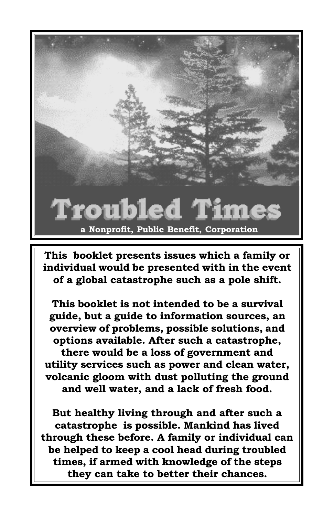

This booklet presents issues which a family or individual would be presented with in the event of a global catastrophe such as a pole shift.

This booklet is not intended to be a survival guide, but a guide to information sources, an overview of problems, possible solutions, and options available. After such a catastrophe, there would be a loss of government and utility services such as power and clean water, volcanic gloom with dust polluting the ground and well water, and a lack of fresh food.

But healthy living through and after such a catastrophe is possible. Mankind has lived through these before. A family or individual can be helped to keep a cool head during troubled times, if armed with knowledge of the steps they can take to better their chances.